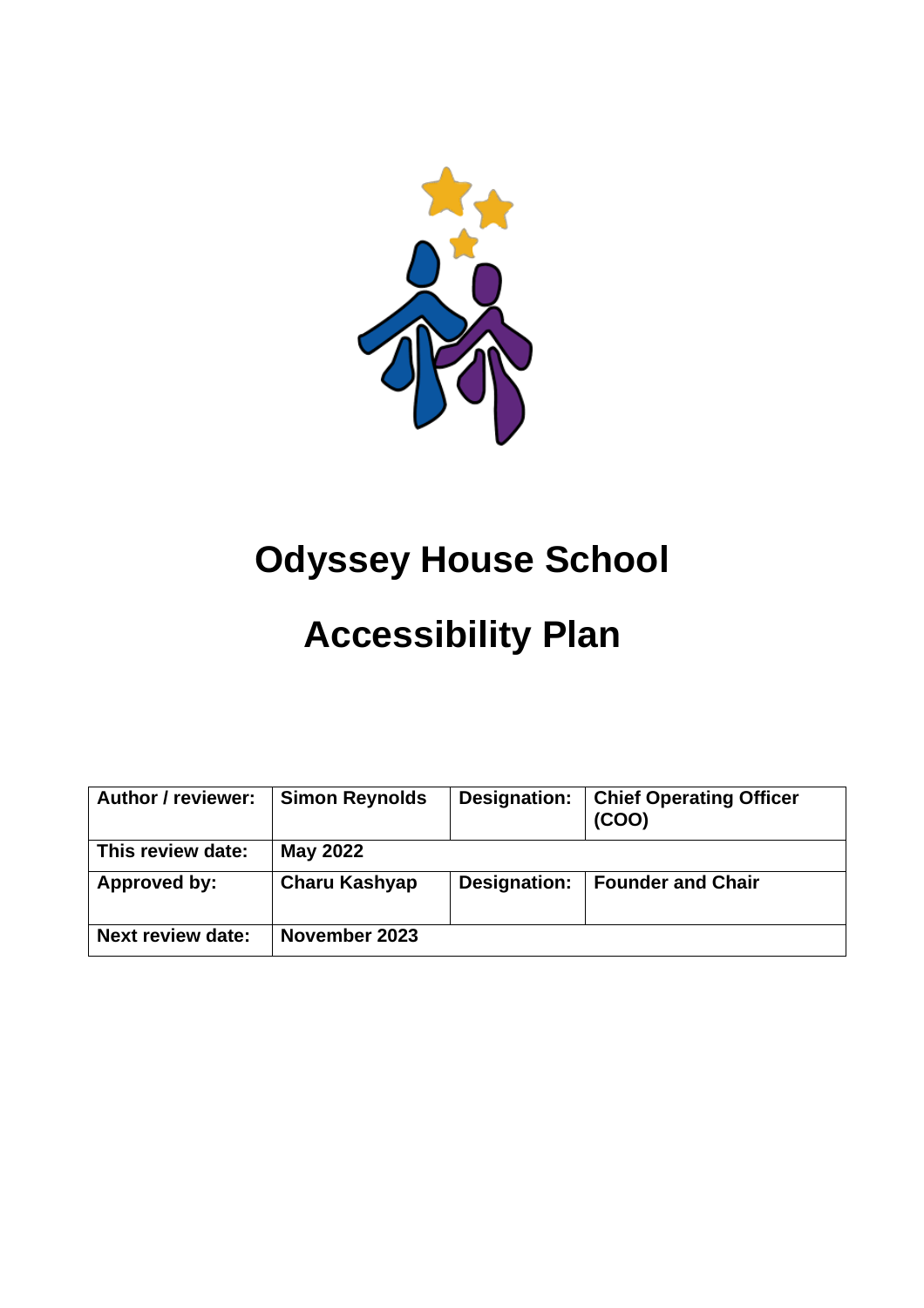

# **Odyssey House School**

# **Accessibility Plan**

| <b>Author / reviewer:</b> | <b>Simon Reynolds</b> | Designation: | <b>Chief Operating Officer</b><br>(COO) |
|---------------------------|-----------------------|--------------|-----------------------------------------|
| This review date:         | May 2022              |              |                                         |
| Approved by:              | <b>Charu Kashyap</b>  | Designation: | <b>Founder and Chair</b>                |
| <b>Next review date:</b>  | November 2023         |              |                                         |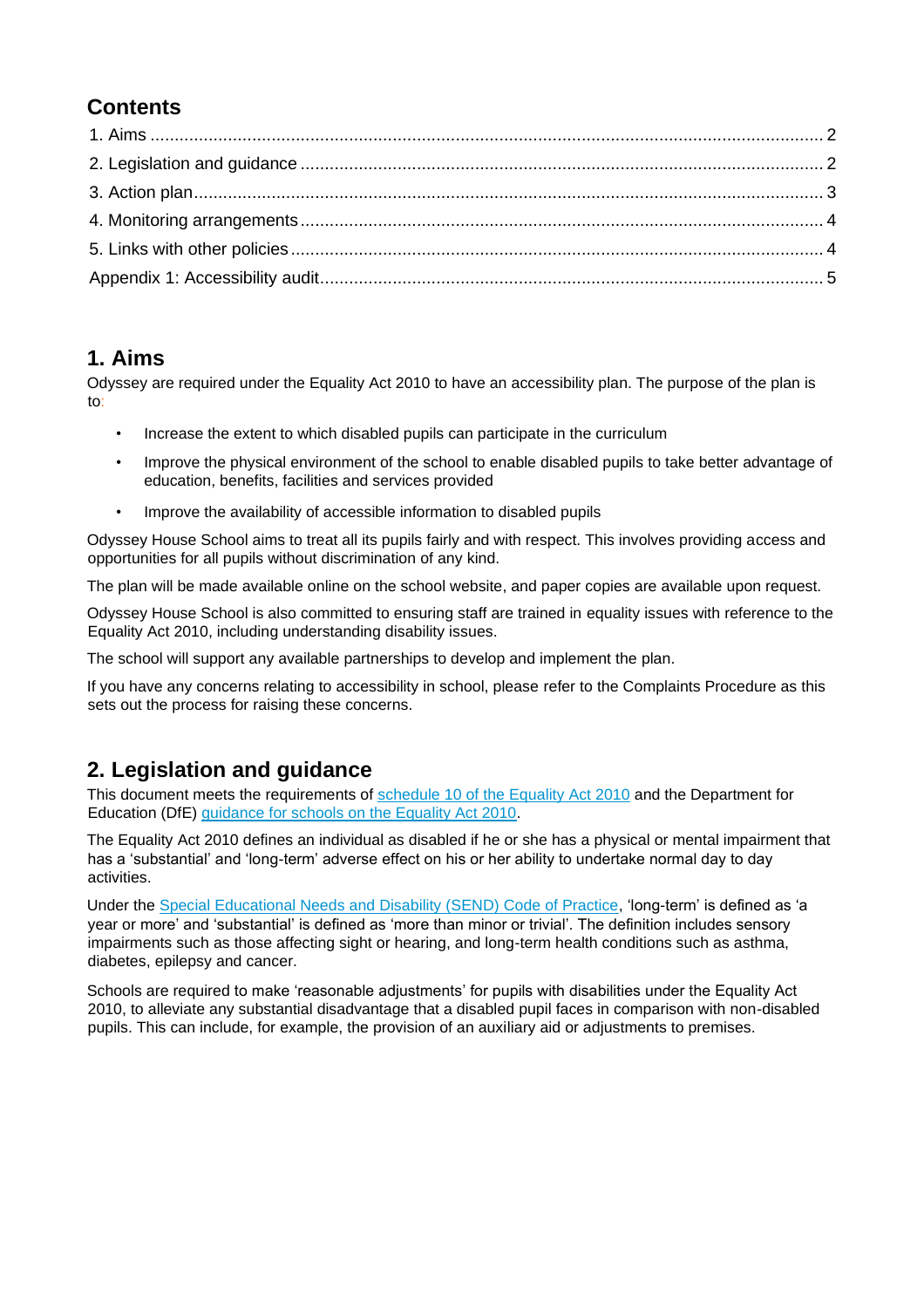### **Contents**

#### <span id="page-1-0"></span>**1. Aims**

Odyssey are required under the Equality Act 2010 to have an accessibility plan. The purpose of the plan is to:

- Increase the extent to which disabled pupils can participate in the curriculum
- Improve the physical environment of the school to enable disabled pupils to take better advantage of education, benefits, facilities and services provided
- Improve the availability of accessible information to disabled pupils

Odyssey House School aims to treat all its pupils fairly and with respect. This involves providing access and opportunities for all pupils without discrimination of any kind.

The plan will be made available online on the school website, and paper copies are available upon request.

Odyssey House School is also committed to ensuring staff are trained in equality issues with reference to the Equality Act 2010, including understanding disability issues.

The school will support any available partnerships to develop and implement the plan.

If you have any concerns relating to accessibility in school, please refer to the Complaints Procedure as this sets out the process for raising these concerns.

### <span id="page-1-1"></span>**2. Legislation and guidance**

This document meets the requirements of [schedule 10 of the Equality Act 2010](http://www.legislation.gov.uk/ukpga/2010/15/schedule/10) and the Department for Education (DfE) [guidance for schools on the Equality Act 2010.](https://www.gov.uk/government/publications/equality-act-2010-advice-for-schools)

The Equality Act 2010 defines an individual as disabled if he or she has a physical or mental impairment that has a 'substantial' and 'long-term' adverse effect on his or her ability to undertake normal day to day activities.

Under the [Special Educational Needs and Disability \(SEND\) Code of Practice,](https://www.gov.uk/government/publications/send-code-of-practice-0-to-25) 'long-term' is defined as 'a year or more' and 'substantial' is defined as 'more than minor or trivial'. The definition includes sensory impairments such as those affecting sight or hearing, and long-term health conditions such as asthma, diabetes, epilepsy and cancer.

Schools are required to make 'reasonable adjustments' for pupils with disabilities under the Equality Act 2010, to alleviate any substantial disadvantage that a disabled pupil faces in comparison with non-disabled pupils. This can include, for example, the provision of an auxiliary aid or adjustments to premises.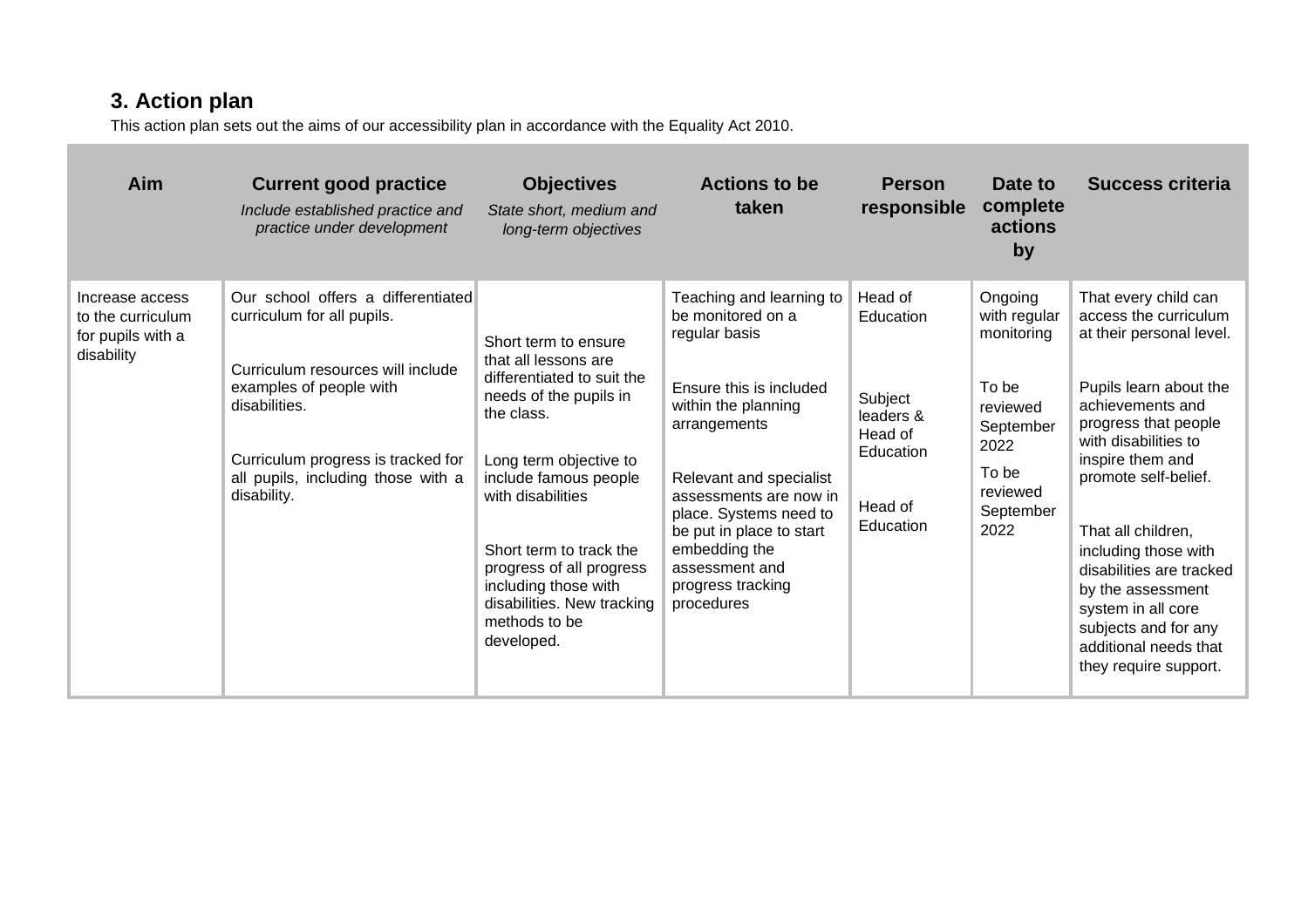## **3. Action plan**

This action plan sets out the aims of our accessibility plan in accordance with the Equality Act 2010.

<span id="page-2-0"></span>

| Aim                                                                     | <b>Current good practice</b><br>Include established practice and<br>practice under development                                                                                                                                               | <b>Objectives</b><br>State short, medium and<br>long-term objectives                                                                                                                                                                                                                                                                   | <b>Actions to be</b><br>taken                                                                                                                                                                                                                                                                                     | <b>Person</b><br>responsible                                                                 | Date to<br>complete<br>actions<br>by                                                                                      | Success criteria                                                                                                                                                                                                                                                                                                                                                                                                   |
|-------------------------------------------------------------------------|----------------------------------------------------------------------------------------------------------------------------------------------------------------------------------------------------------------------------------------------|----------------------------------------------------------------------------------------------------------------------------------------------------------------------------------------------------------------------------------------------------------------------------------------------------------------------------------------|-------------------------------------------------------------------------------------------------------------------------------------------------------------------------------------------------------------------------------------------------------------------------------------------------------------------|----------------------------------------------------------------------------------------------|---------------------------------------------------------------------------------------------------------------------------|--------------------------------------------------------------------------------------------------------------------------------------------------------------------------------------------------------------------------------------------------------------------------------------------------------------------------------------------------------------------------------------------------------------------|
| Increase access<br>to the curriculum<br>for pupils with a<br>disability | Our school offers a differentiated<br>curriculum for all pupils.<br>Curriculum resources will include<br>examples of people with<br>disabilities.<br>Curriculum progress is tracked for<br>all pupils, including those with a<br>disability. | Short term to ensure<br>that all lessons are<br>differentiated to suit the<br>needs of the pupils in<br>the class.<br>Long term objective to<br>include famous people<br>with disabilities<br>Short term to track the<br>progress of all progress<br>including those with<br>disabilities. New tracking<br>methods to be<br>developed. | Teaching and learning to<br>be monitored on a<br>regular basis<br>Ensure this is included<br>within the planning<br>arrangements<br>Relevant and specialist<br>assessments are now in<br>place. Systems need to<br>be put in place to start<br>embedding the<br>assessment and<br>progress tracking<br>procedures | Head of<br>Education<br>Subject<br>leaders &<br>Head of<br>Education<br>Head of<br>Education | Ongoing<br>with regular<br>monitoring<br>To be<br>reviewed<br>September<br>2022<br>To be<br>reviewed<br>September<br>2022 | That every child can<br>access the curriculum<br>at their personal level.<br>Pupils learn about the<br>achievements and<br>progress that people<br>with disabilities to<br>inspire them and<br>promote self-belief.<br>That all children,<br>including those with<br>disabilities are tracked<br>by the assessment<br>system in all core<br>subjects and for any<br>additional needs that<br>they require support. |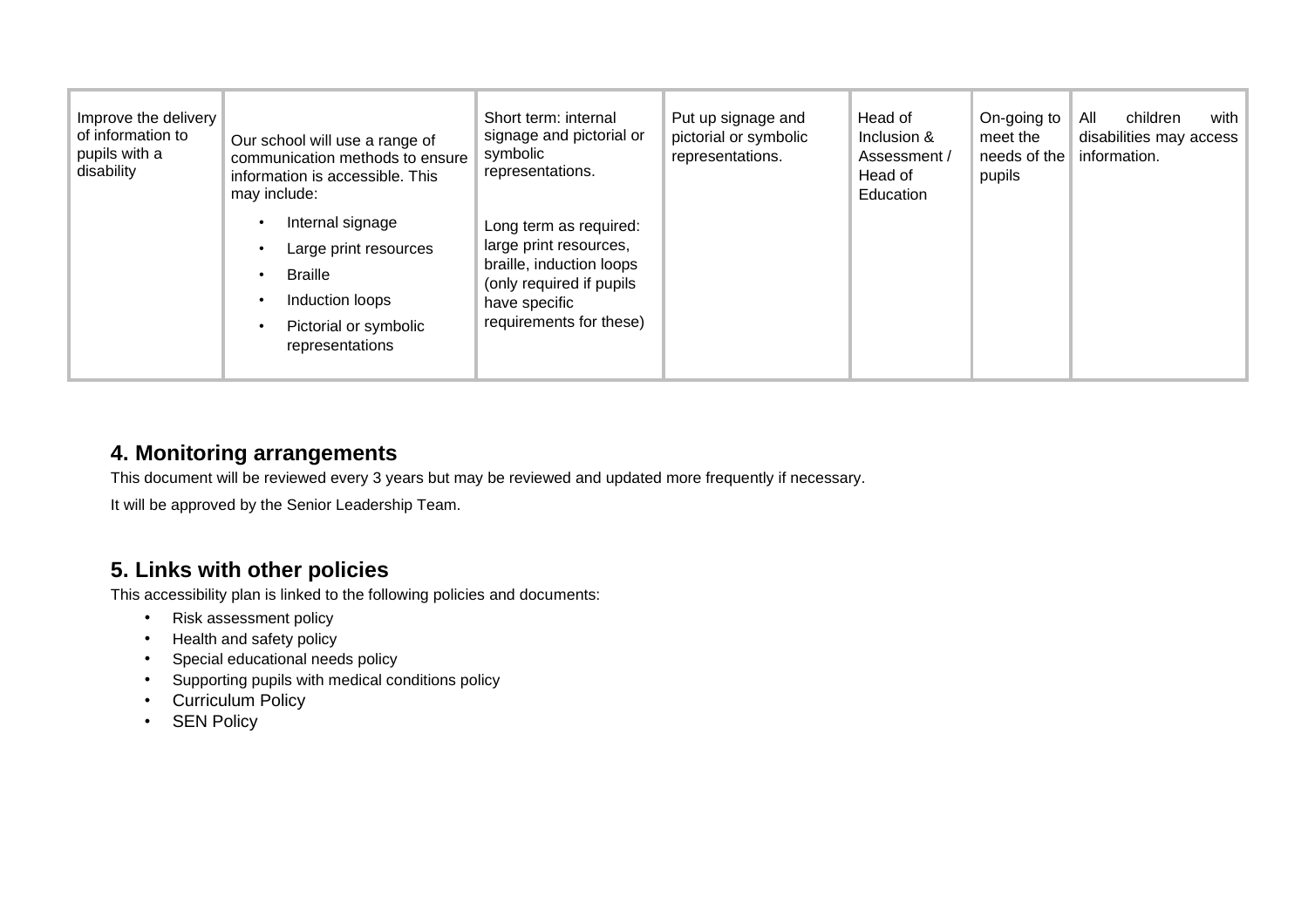| Improve the delivery<br>of information to<br>pupils with a<br>disability | Our school will use a range of<br>communication methods to ensure<br>information is accessible. This<br>may include:       | Short term: internal<br>signage and pictorial or<br>symbolic<br>representations.                                                                     | Put up signage and<br>pictorial or symbolic<br>representations. | Head of<br>Inclusion &<br>Assessment /<br>Head of<br>Education | On-going to<br>meet the<br>needs of the<br>pupils | All<br>children<br>with<br>disabilities may access<br>information. |
|--------------------------------------------------------------------------|----------------------------------------------------------------------------------------------------------------------------|------------------------------------------------------------------------------------------------------------------------------------------------------|-----------------------------------------------------------------|----------------------------------------------------------------|---------------------------------------------------|--------------------------------------------------------------------|
|                                                                          | Internal signage<br>Large print resources<br><b>Braille</b><br>Induction loops<br>Pictorial or symbolic<br>representations | Long term as required:<br>large print resources,<br>braille, induction loops<br>(only required if pupils<br>have specific<br>requirements for these) |                                                                 |                                                                |                                                   |                                                                    |

#### **4. Monitoring arrangements**

This document will be reviewed every 3 years but may be reviewed and updated more frequently if necessary.

It will be approved by the Senior Leadership Team.

#### **5. Links with other policies**

This accessibility plan is linked to the following policies and documents:

- Risk assessment policy
- Health and safety policy
- Special educational needs policy
- Supporting pupils with medical conditions policy
- Curriculum Policy
- <span id="page-3-1"></span><span id="page-3-0"></span>• SEN Policy